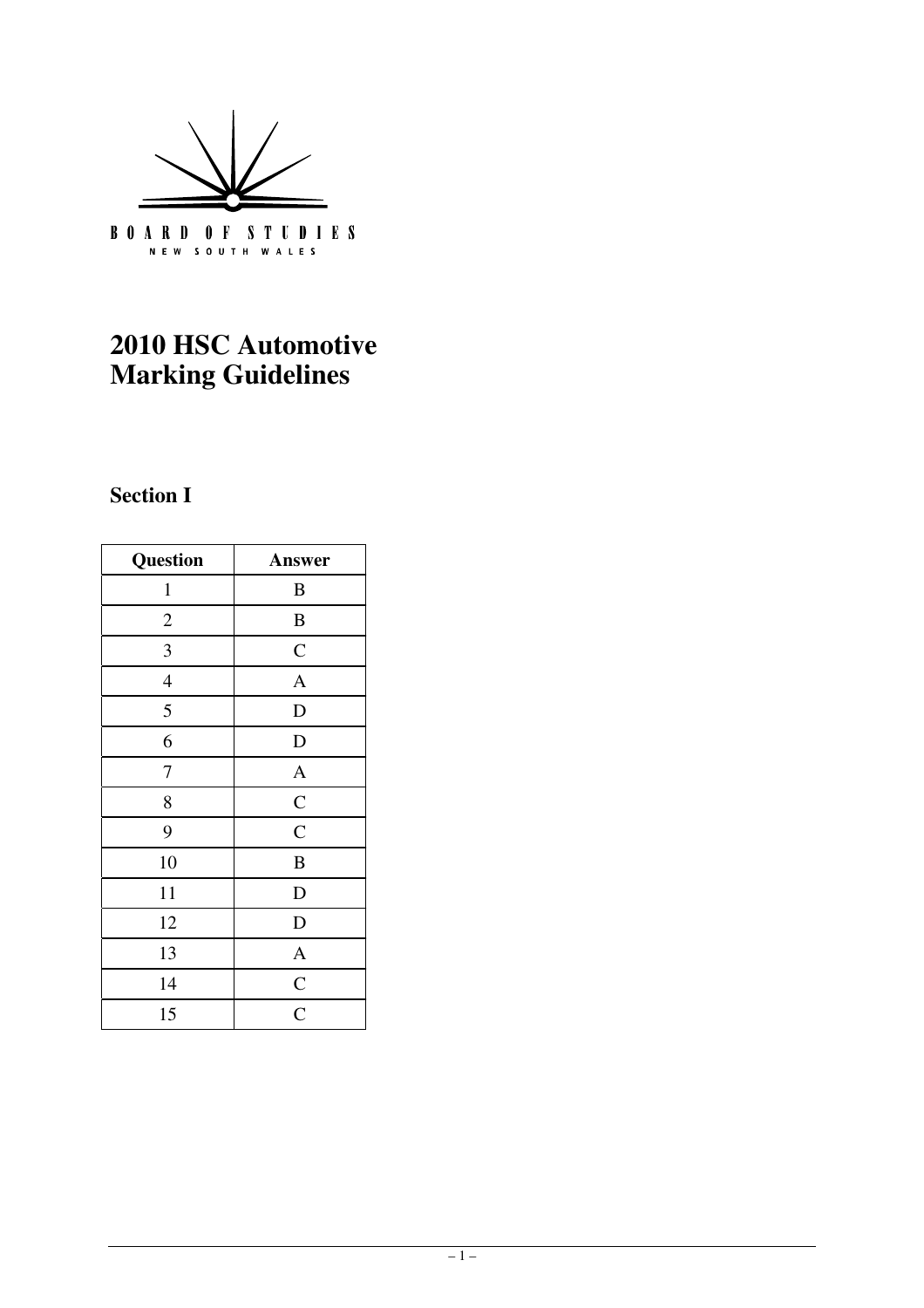

## **2010 HSC Automotive Marking Guidelines**

### **Section I**

| <b>Question</b> | Answer         |
|-----------------|----------------|
| $\mathbf{1}$    | B              |
| $\overline{c}$  | $\, {\bf B}$   |
| $\overline{3}$  | $\mathbf C$    |
| $\overline{4}$  | $\mathbf{A}$   |
| 5               | $\mathbf D$    |
| 6               | $\mathbf D$    |
| 7               | $\mathbf{A}$   |
| 8               | $\mathbf C$    |
| 9               | $\overline{C}$ |
| 10              | $\, {\bf B}$   |
| 11              | D              |
| 12              | $\mathbf D$    |
| 13              | $\mathbf{A}$   |
| 14              | $rac{C}{C}$    |
| 15              |                |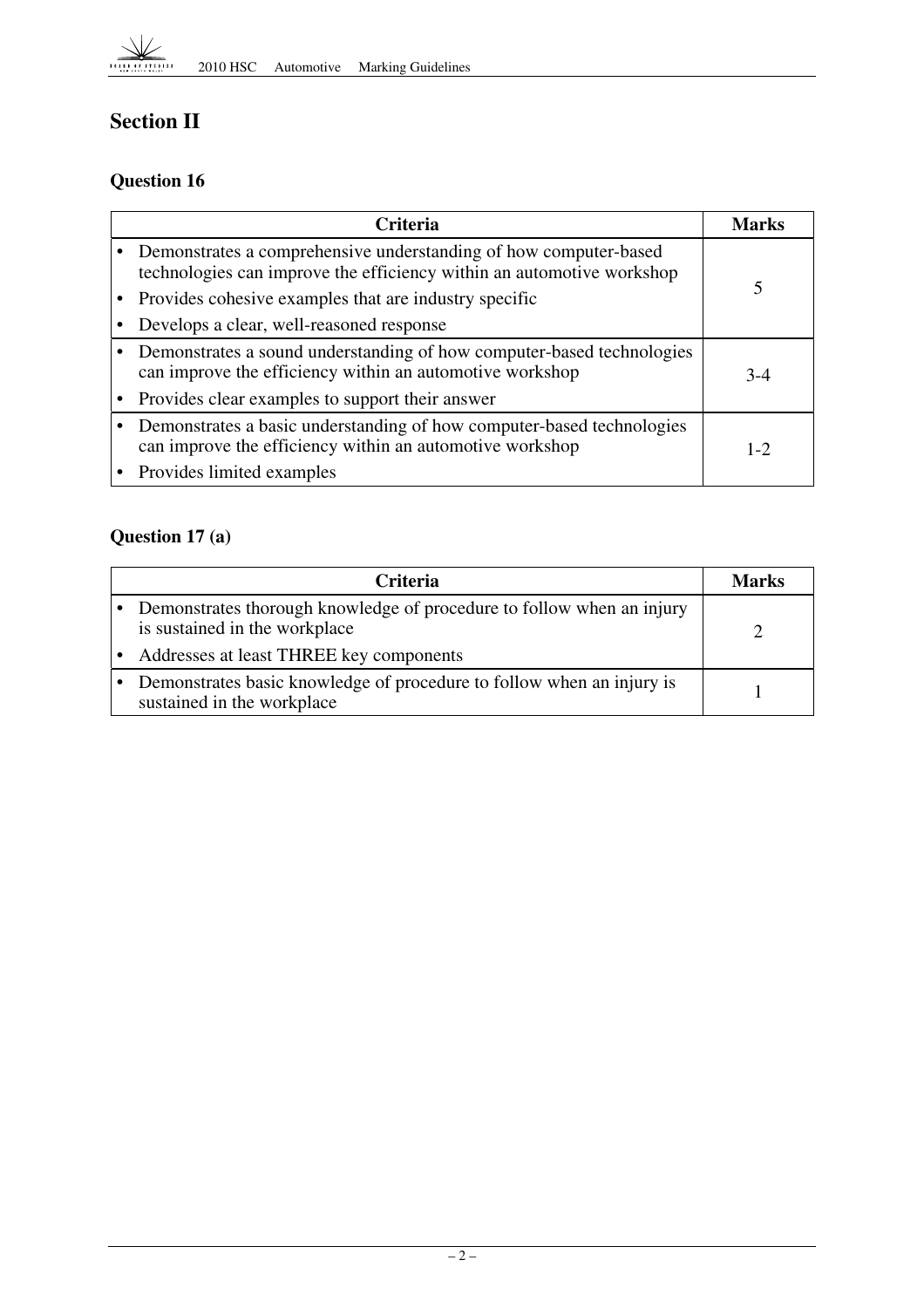

## **Section II**

#### **Question 16**

| <b>Criteria</b>                                                                                                                             | Marks   |
|---------------------------------------------------------------------------------------------------------------------------------------------|---------|
| • Demonstrates a comprehensive understanding of how computer-based<br>technologies can improve the efficiency within an automotive workshop |         |
| Provides cohesive examples that are industry specific                                                                                       |         |
| Develops a clear, well-reasoned response                                                                                                    |         |
| Demonstrates a sound understanding of how computer-based technologies<br>can improve the efficiency within an automotive workshop           | $3-4$   |
| Provides clear examples to support their answer                                                                                             |         |
| Demonstrates a basic understanding of how computer-based technologies<br>can improve the efficiency within an automotive workshop           | $1 - 2$ |
| • Provides limited examples                                                                                                                 |         |

#### **Question 17 (a)**

| <b>Criteria</b>                                                                                        | Marks |
|--------------------------------------------------------------------------------------------------------|-------|
| Demonstrates thorough knowledge of procedure to follow when an injury<br>is sustained in the workplace |       |
| Addresses at least THREE key components                                                                |       |
| Demonstrates basic knowledge of procedure to follow when an injury is<br>sustained in the workplace    |       |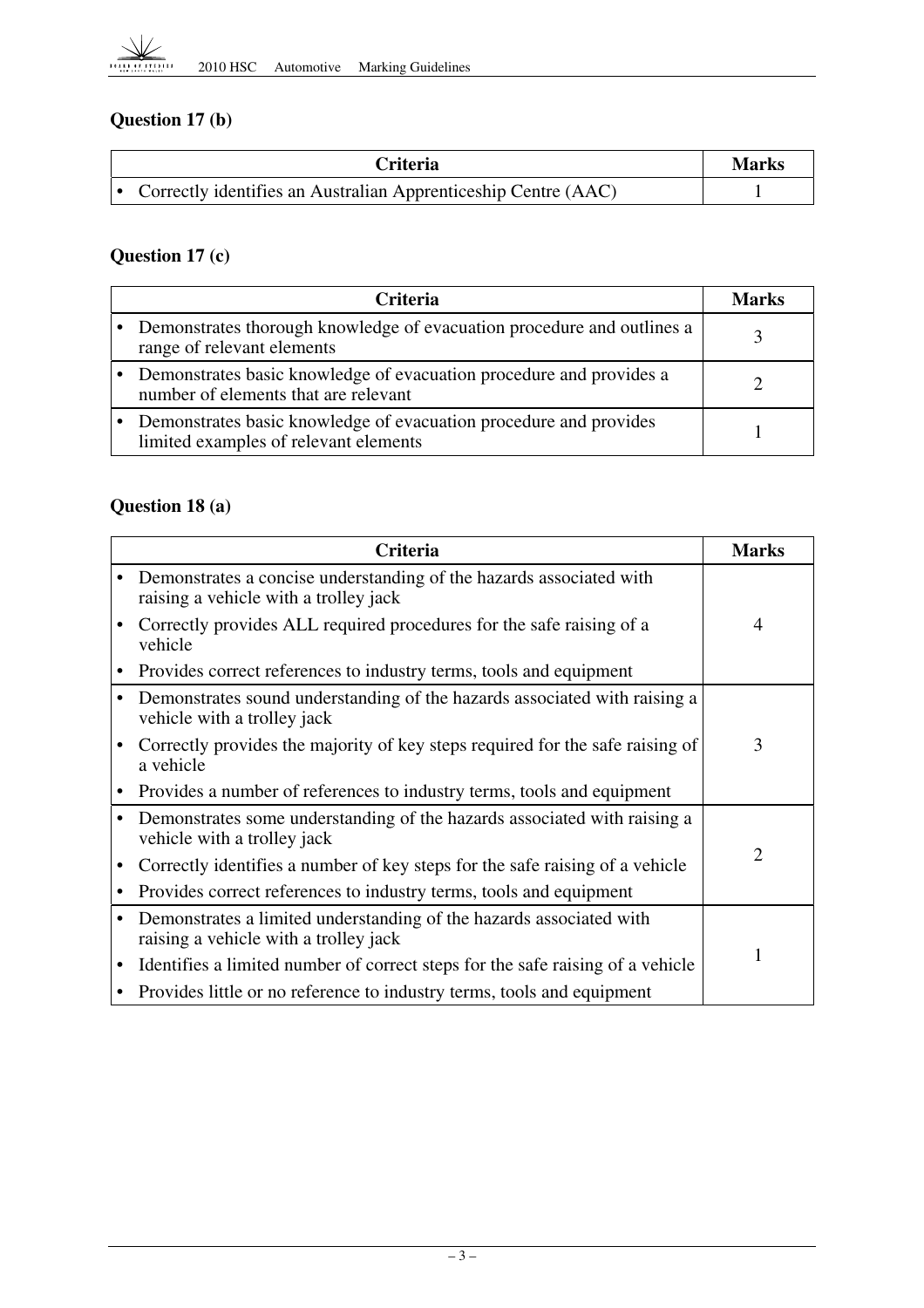

### **Question 17 (b)**

| Criteria                                                         | <b>Marks</b> |
|------------------------------------------------------------------|--------------|
| • Correctly identifies an Australian Apprenticeship Centre (AAC) |              |

### **Question 17 (c)**

| <b>Criteria</b>                                                                                             | Marks |
|-------------------------------------------------------------------------------------------------------------|-------|
| Demonstrates thorough knowledge of evacuation procedure and outlines a<br>range of relevant elements        |       |
| Demonstrates basic knowledge of evacuation procedure and provides a<br>number of elements that are relevant |       |
| Demonstrates basic knowledge of evacuation procedure and provides<br>limited examples of relevant elements  |       |

#### **Question 18 (a)**

| <b>Criteria</b>                                                                                              | <b>Marks</b>   |
|--------------------------------------------------------------------------------------------------------------|----------------|
| Demonstrates a concise understanding of the hazards associated with<br>raising a vehicle with a trolley jack |                |
| Correctly provides ALL required procedures for the safe raising of a<br>vehicle                              | $\overline{4}$ |
| Provides correct references to industry terms, tools and equipment                                           |                |
| Demonstrates sound understanding of the hazards associated with raising a<br>vehicle with a trolley jack     |                |
| Correctly provides the majority of key steps required for the safe raising of<br>a vehicle                   | 3              |
| Provides a number of references to industry terms, tools and equipment                                       |                |
| Demonstrates some understanding of the hazards associated with raising a<br>vehicle with a trolley jack      |                |
| Correctly identifies a number of key steps for the safe raising of a vehicle                                 | $\overline{2}$ |
| Provides correct references to industry terms, tools and equipment                                           |                |
| Demonstrates a limited understanding of the hazards associated with<br>raising a vehicle with a trolley jack |                |
| Identifies a limited number of correct steps for the safe raising of a vehicle                               |                |
| Provides little or no reference to industry terms, tools and equipment                                       |                |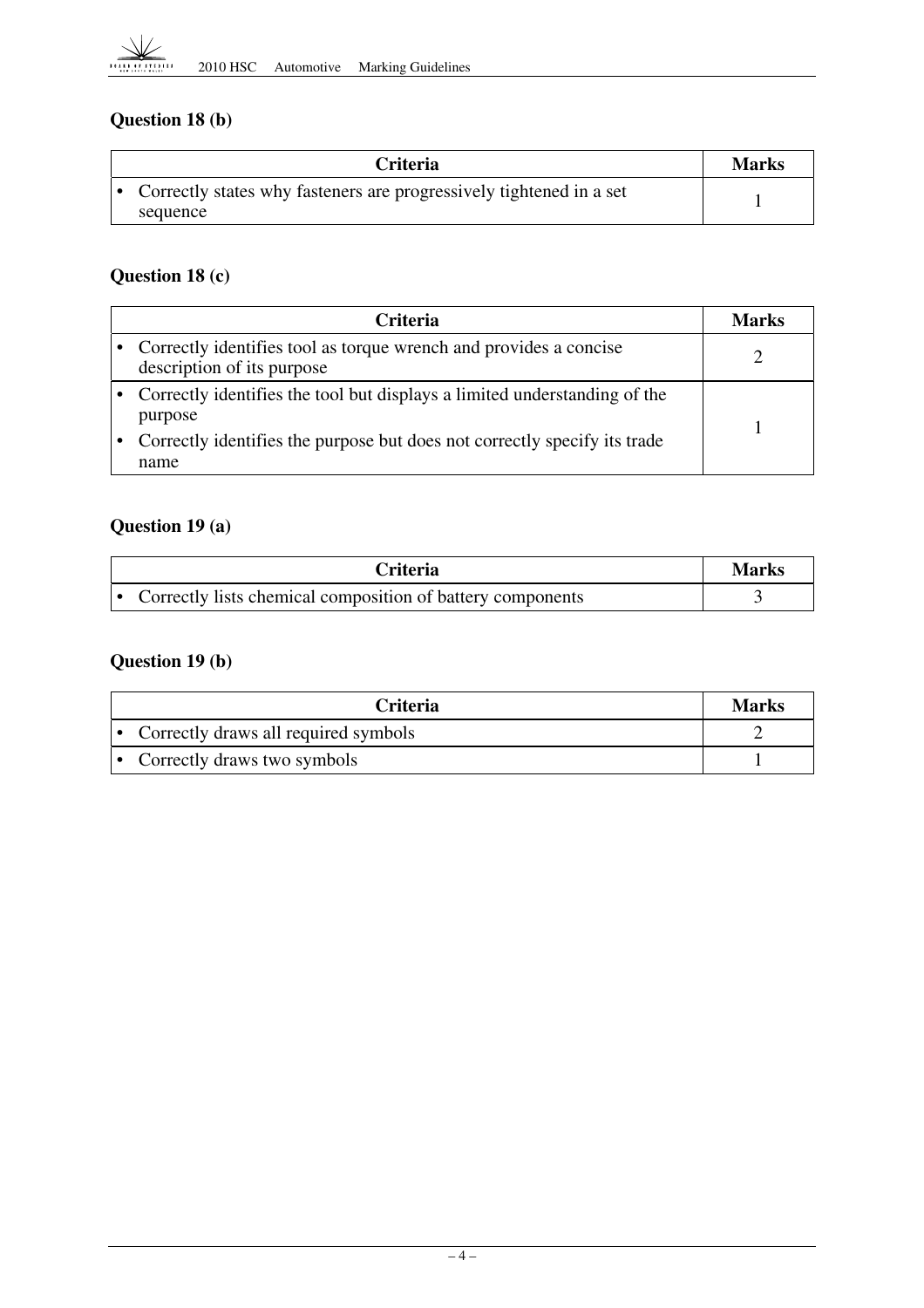

### **Question 18 (b)**

| <b>Criteria</b>                                                                 | <b>Marks</b> |
|---------------------------------------------------------------------------------|--------------|
| Correctly states why fasteners are progressively tightened in a set<br>sequence |              |

#### **Question 18 (c)**

| <b>Criteria</b>                                                                                 | Marks |
|-------------------------------------------------------------------------------------------------|-------|
| Correctly identifies tool as torque wrench and provides a concise<br>description of its purpose |       |
| Correctly identifies the tool but displays a limited understanding of the<br>purpose            |       |
| Correctly identifies the purpose but does not correctly specify its trade<br>name               |       |

### **Question 19 (a)**

| Criteria I                                                 | <b>Marks</b> |
|------------------------------------------------------------|--------------|
| Correctly lists chemical composition of battery components |              |

### **Question 19 (b)**

| <b>Criteria</b>                        | Marks |
|----------------------------------------|-------|
| • Correctly draws all required symbols |       |
| • Correctly draws two symbols          |       |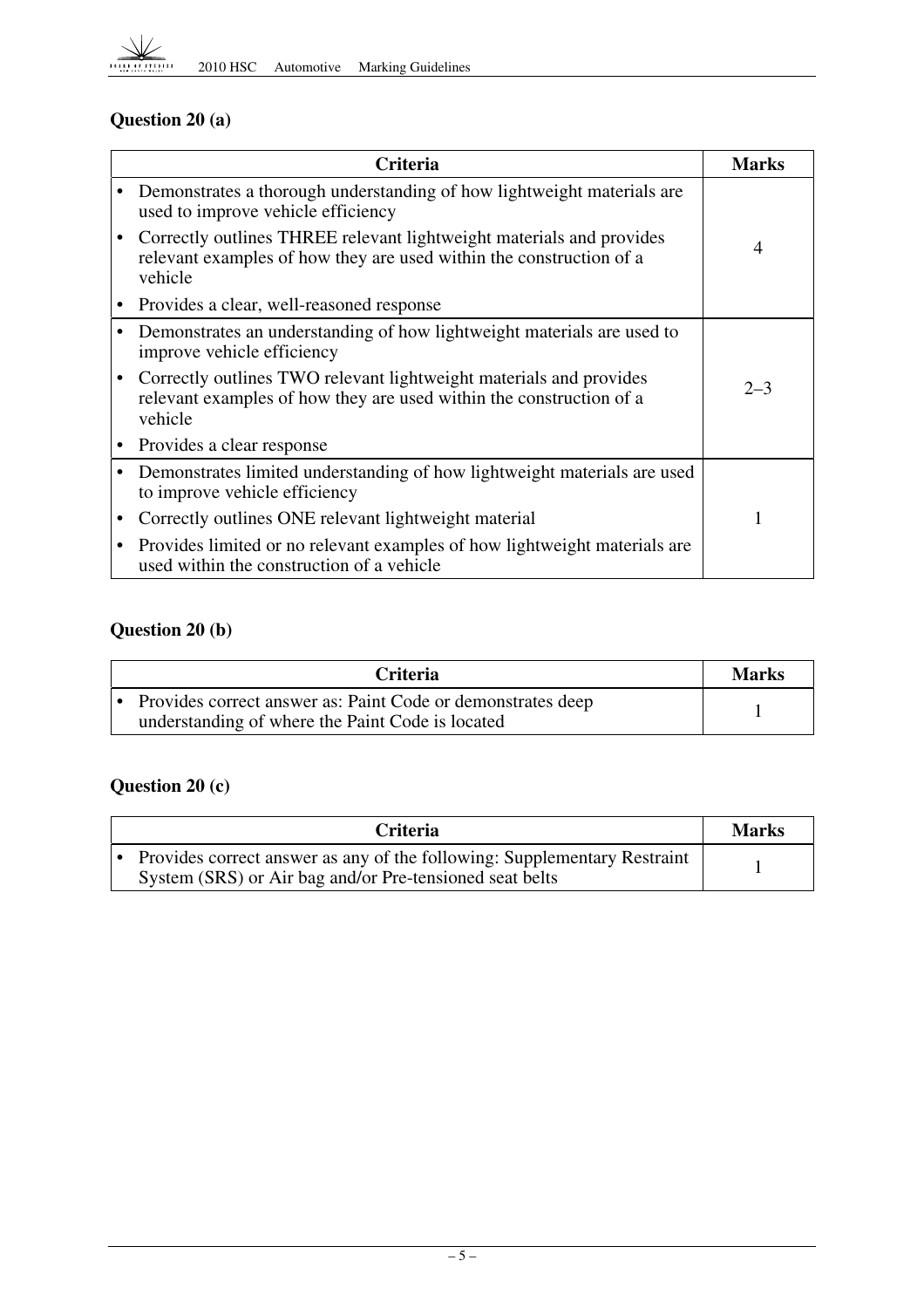

### **Question 20 (a)**

| <b>Criteria</b>                                                                                                                                        | <b>Marks</b>   |
|--------------------------------------------------------------------------------------------------------------------------------------------------------|----------------|
| Demonstrates a thorough understanding of how lightweight materials are<br>used to improve vehicle efficiency                                           |                |
| Correctly outlines THREE relevant lightweight materials and provides<br>relevant examples of how they are used within the construction of a<br>vehicle | $\overline{4}$ |
| Provides a clear, well-reasoned response                                                                                                               |                |
| Demonstrates an understanding of how lightweight materials are used to<br>improve vehicle efficiency                                                   |                |
| Correctly outlines TWO relevant lightweight materials and provides<br>relevant examples of how they are used within the construction of a<br>vehicle   | $2 - 3$        |
| Provides a clear response                                                                                                                              |                |
| Demonstrates limited understanding of how lightweight materials are used<br>to improve vehicle efficiency                                              |                |
| Correctly outlines ONE relevant lightweight material                                                                                                   | 1              |
| Provides limited or no relevant examples of how lightweight materials are<br>used within the construction of a vehicle                                 |                |

### **Question 20 (b)**

| <b>Criteria</b>                                                                                                 | <b>Marks</b> |
|-----------------------------------------------------------------------------------------------------------------|--------------|
| Provides correct answer as: Paint Code or demonstrates deep<br>understanding of where the Paint Code is located |              |

### **Question 20 (c)**

| <b>Criteria</b>                                                                                                                     | <b>Marks</b> |
|-------------------------------------------------------------------------------------------------------------------------------------|--------------|
| Provides correct answer as any of the following: Supplementary Restraint<br>System (SRS) or Air bag and/or Pre-tensioned seat belts |              |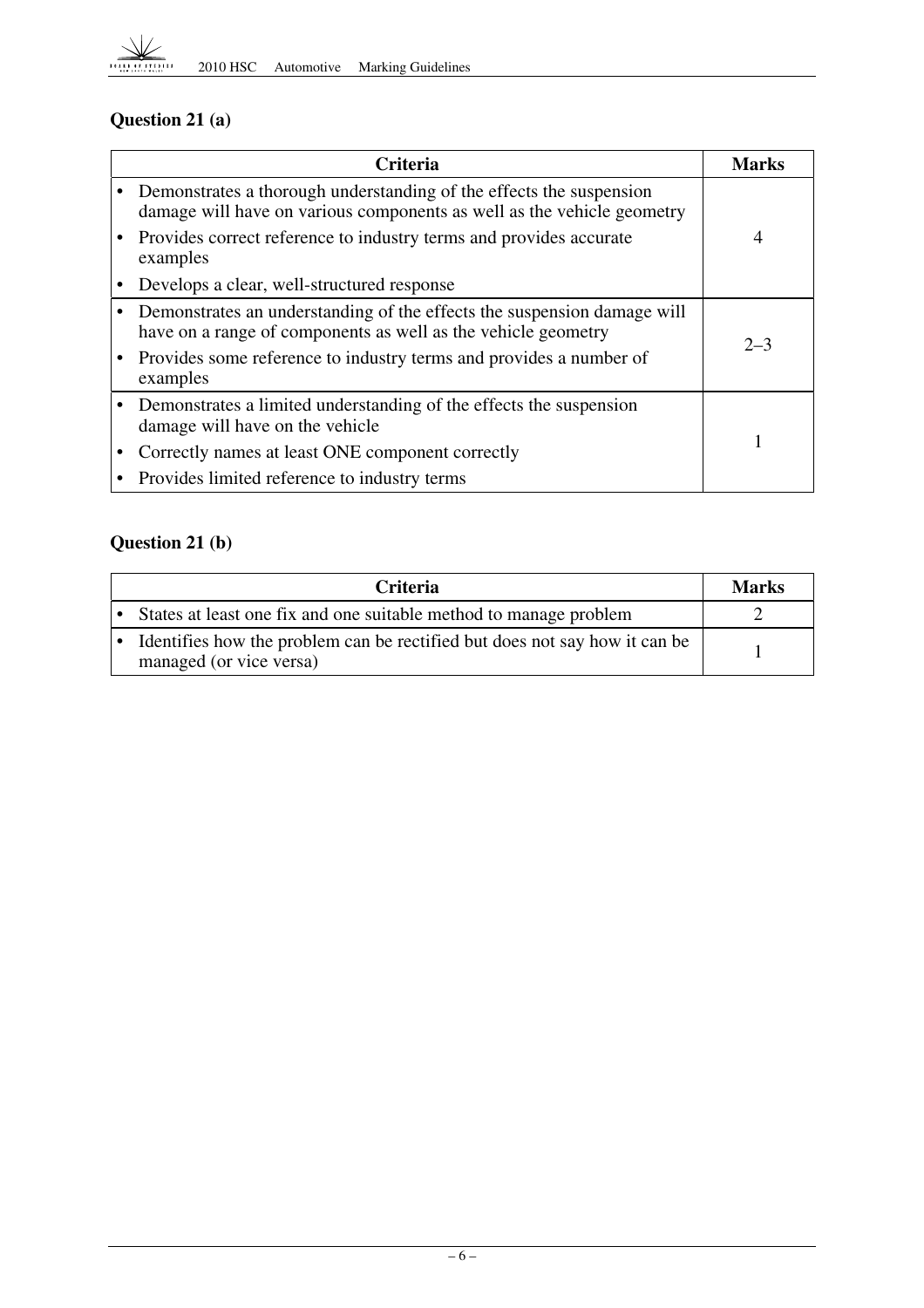

### **Question 21 (a)**

| Criteria                                                                                                                                      | <b>Marks</b> |
|-----------------------------------------------------------------------------------------------------------------------------------------------|--------------|
| Demonstrates a thorough understanding of the effects the suspension<br>damage will have on various components as well as the vehicle geometry |              |
| Provides correct reference to industry terms and provides accurate<br>examples                                                                | 4            |
| Develops a clear, well-structured response                                                                                                    |              |
| Demonstrates an understanding of the effects the suspension damage will<br>have on a range of components as well as the vehicle geometry      | $2 - 3$      |
| Provides some reference to industry terms and provides a number of<br>examples                                                                |              |
| Demonstrates a limited understanding of the effects the suspension<br>damage will have on the vehicle                                         |              |
| Correctly names at least ONE component correctly                                                                                              |              |
| Provides limited reference to industry terms                                                                                                  |              |

### **Question 21 (b)**

| <b>Criteria</b>                                                                                         | <b>Marks</b> |
|---------------------------------------------------------------------------------------------------------|--------------|
| • States at least one fix and one suitable method to manage problem                                     |              |
| • Identifies how the problem can be rectified but does not say how it can be<br>managed (or vice versa) |              |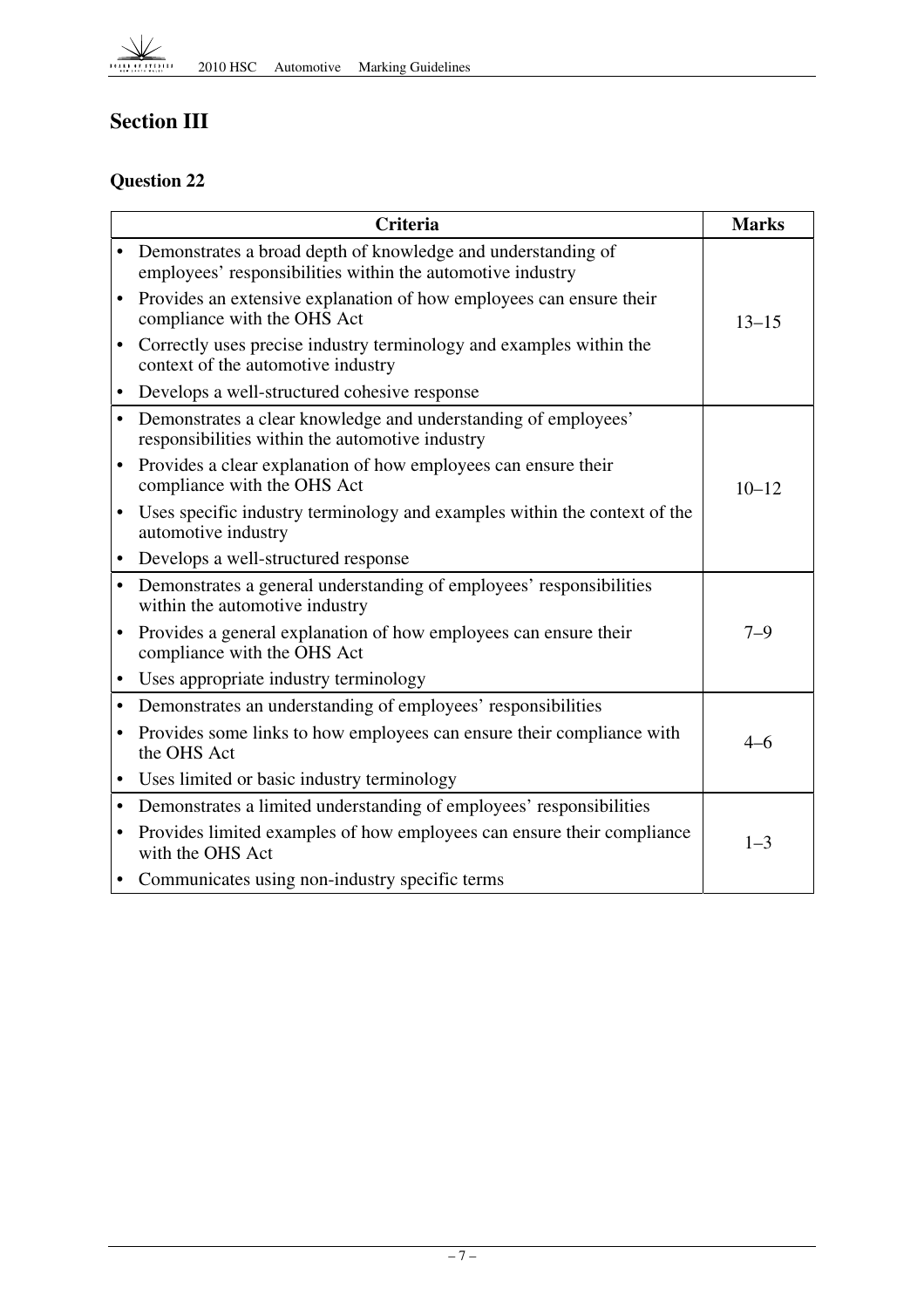

## **Section III**

#### **Question 22**

|           | <b>Criteria</b>                                                                                                            | <b>Marks</b> |
|-----------|----------------------------------------------------------------------------------------------------------------------------|--------------|
| $\bullet$ | Demonstrates a broad depth of knowledge and understanding of<br>employees' responsibilities within the automotive industry |              |
| $\bullet$ | Provides an extensive explanation of how employees can ensure their<br>compliance with the OHS Act                         | $13 - 15$    |
|           | Correctly uses precise industry terminology and examples within the<br>context of the automotive industry                  |              |
| $\bullet$ | Develops a well-structured cohesive response                                                                               |              |
| $\bullet$ | Demonstrates a clear knowledge and understanding of employees'<br>responsibilities within the automotive industry          |              |
| $\bullet$ | Provides a clear explanation of how employees can ensure their<br>compliance with the OHS Act                              | $10 - 12$    |
|           | Uses specific industry terminology and examples within the context of the<br>automotive industry                           |              |
| $\bullet$ | Develops a well-structured response                                                                                        |              |
| $\bullet$ | Demonstrates a general understanding of employees' responsibilities<br>within the automotive industry                      |              |
| $\bullet$ | Provides a general explanation of how employees can ensure their<br>compliance with the OHS Act                            | $7 - 9$      |
| $\bullet$ | Uses appropriate industry terminology                                                                                      |              |
| $\bullet$ | Demonstrates an understanding of employees' responsibilities                                                               |              |
| $\bullet$ | Provides some links to how employees can ensure their compliance with<br>the OHS Act                                       | $4 - 6$      |
|           | Uses limited or basic industry terminology                                                                                 |              |
| $\bullet$ | Demonstrates a limited understanding of employees' responsibilities                                                        |              |
| ٠         | Provides limited examples of how employees can ensure their compliance<br>with the OHS Act                                 | $1 - 3$      |
|           | Communicates using non-industry specific terms                                                                             |              |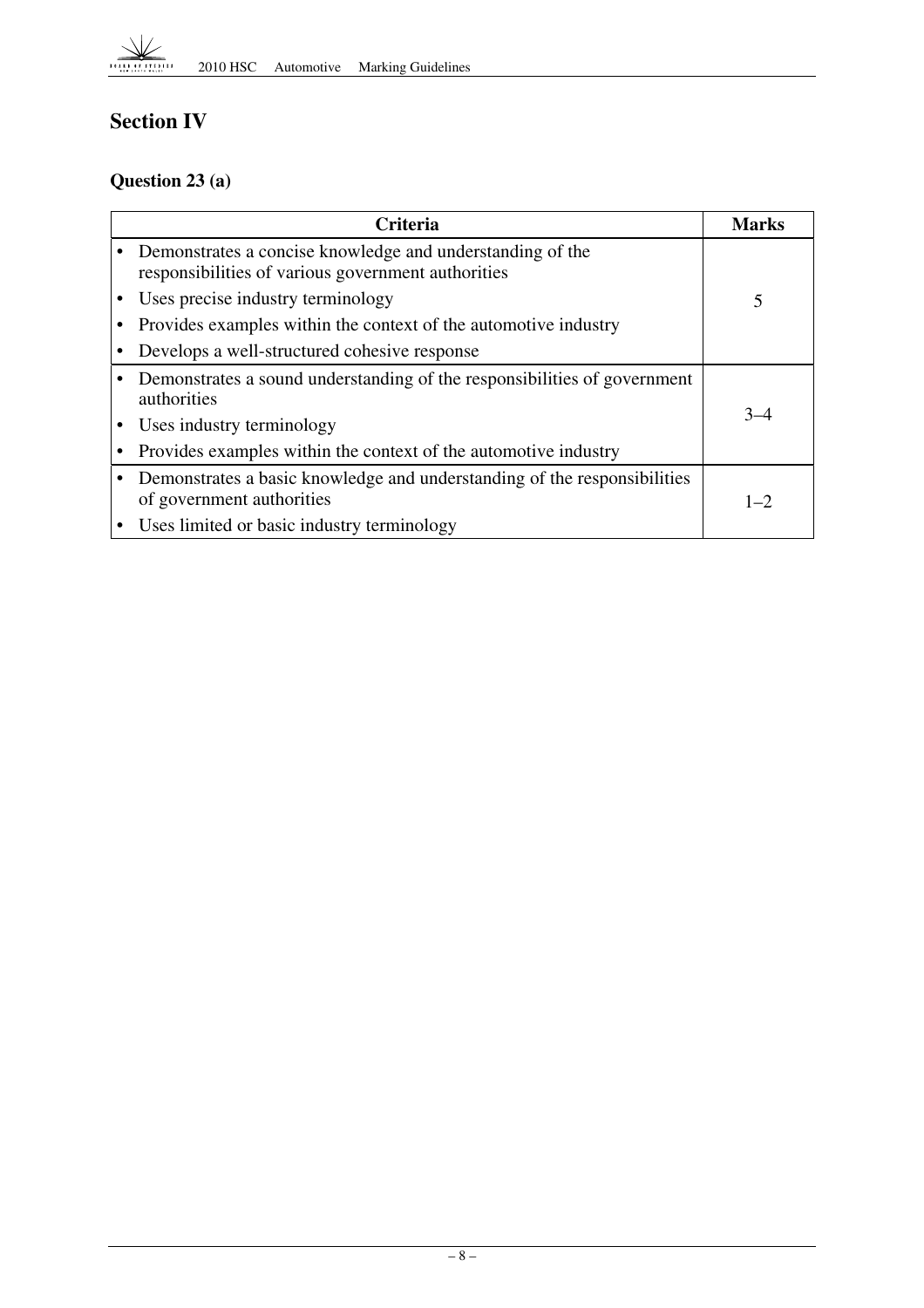

### **Section IV**

#### **Question 23 (a)**

| <b>Criteria</b>                                                                                                 | <b>Marks</b> |
|-----------------------------------------------------------------------------------------------------------------|--------------|
| Demonstrates a concise knowledge and understanding of the<br>responsibilities of various government authorities |              |
| Uses precise industry terminology                                                                               | 5            |
| Provides examples within the context of the automotive industry                                                 |              |
| Develops a well-structured cohesive response                                                                    |              |
| Demonstrates a sound understanding of the responsibilities of government<br>authorities                         |              |
| Uses industry terminology                                                                                       | $3 - 4$      |
| Provides examples within the context of the automotive industry                                                 |              |
| Demonstrates a basic knowledge and understanding of the responsibilities<br>of government authorities           | $1 - 2$      |
| Uses limited or basic industry terminology                                                                      |              |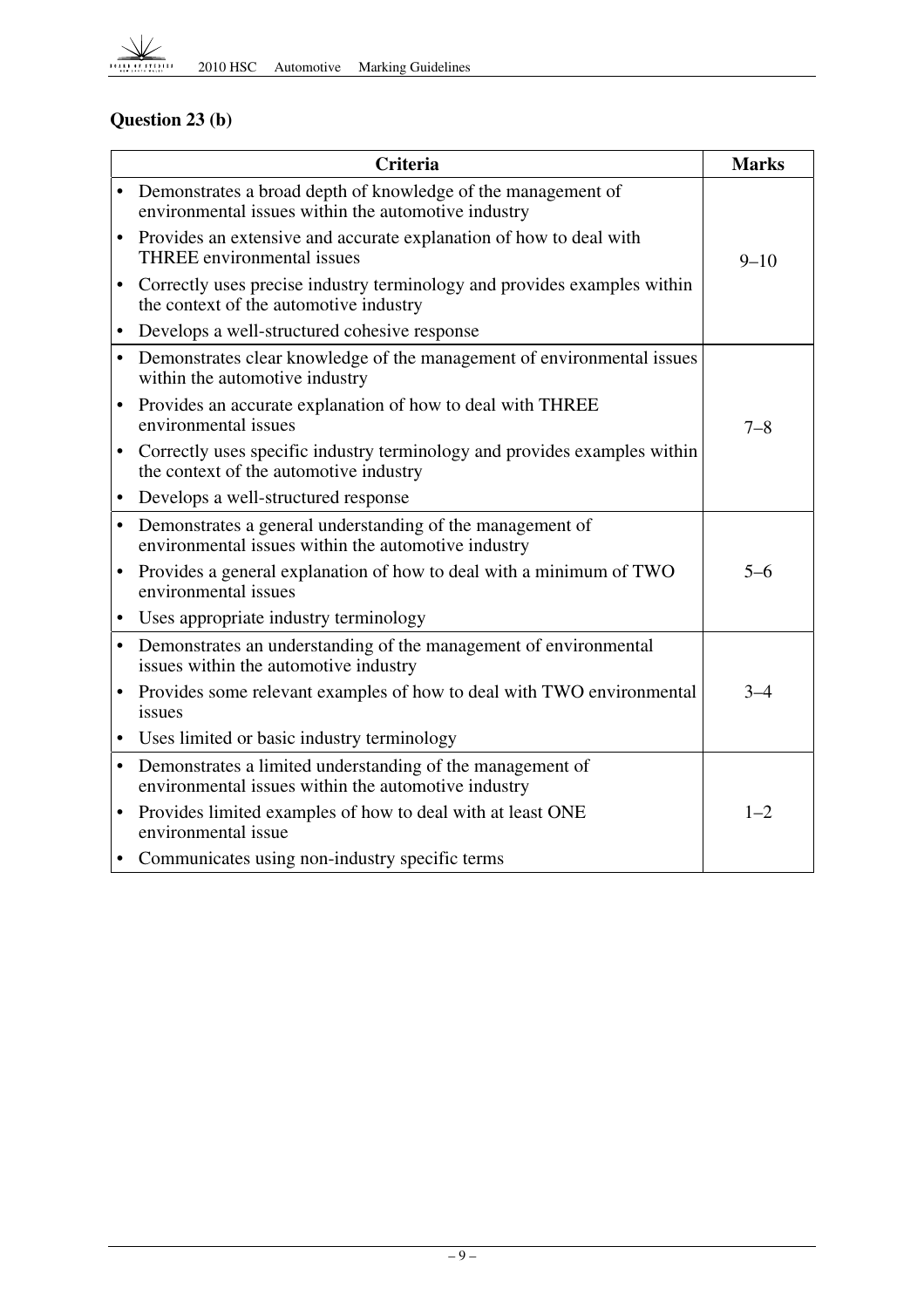

### **Question 23 (b)**

|           | <b>Criteria</b>                                                                                                       | <b>Marks</b> |
|-----------|-----------------------------------------------------------------------------------------------------------------------|--------------|
|           | • Demonstrates a broad depth of knowledge of the management of<br>environmental issues within the automotive industry |              |
| $\bullet$ | Provides an extensive and accurate explanation of how to deal with<br>THREE environmental issues                      | $9 - 10$     |
| $\bullet$ | Correctly uses precise industry terminology and provides examples within<br>the context of the automotive industry    |              |
|           | Develops a well-structured cohesive response                                                                          |              |
|           | • Demonstrates clear knowledge of the management of environmental issues<br>within the automotive industry            |              |
| $\bullet$ | Provides an accurate explanation of how to deal with THREE<br>environmental issues                                    | $7 - 8$      |
| $\bullet$ | Correctly uses specific industry terminology and provides examples within<br>the context of the automotive industry   |              |
| $\bullet$ | Develops a well-structured response                                                                                   |              |
| $\bullet$ | Demonstrates a general understanding of the management of<br>environmental issues within the automotive industry      |              |
|           | • Provides a general explanation of how to deal with a minimum of TWO<br>environmental issues                         | $5 - 6$      |
|           | • Uses appropriate industry terminology                                                                               |              |
|           | • Demonstrates an understanding of the management of environmental<br>issues within the automotive industry           |              |
|           | • Provides some relevant examples of how to deal with TWO environmental<br>issues                                     | $3 - 4$      |
|           | • Uses limited or basic industry terminology                                                                          |              |
|           | • Demonstrates a limited understanding of the management of<br>environmental issues within the automotive industry    |              |
| $\bullet$ | Provides limited examples of how to deal with at least ONE<br>environmental issue                                     | $1 - 2$      |
| $\bullet$ | Communicates using non-industry specific terms                                                                        |              |